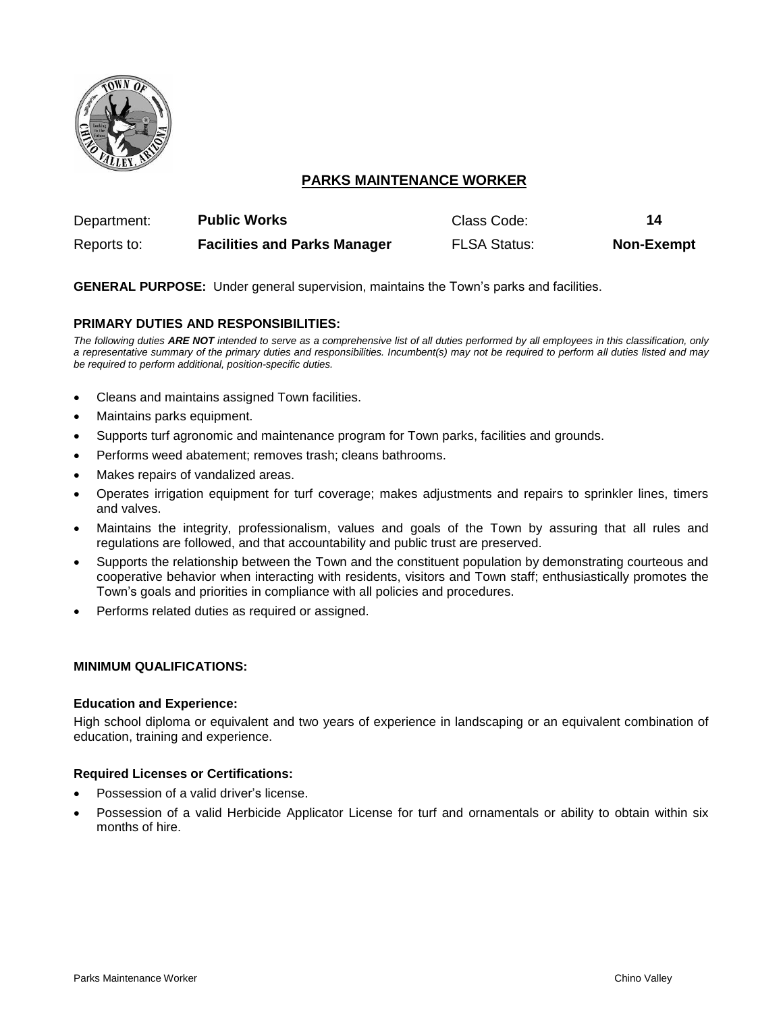

# **PARKS MAINTENANCE WORKER**

| Department: | <b>Public Works</b>                 | Class Code:         | 14                |
|-------------|-------------------------------------|---------------------|-------------------|
| Reports to: | <b>Facilities and Parks Manager</b> | <b>FLSA Status:</b> | <b>Non-Exempt</b> |

# **GENERAL PURPOSE:** Under general supervision, maintains the Town's parks and facilities.

# **PRIMARY DUTIES AND RESPONSIBILITIES:**

*The following duties ARE NOT intended to serve as a comprehensive list of all duties performed by all employees in this classification, only a representative summary of the primary duties and responsibilities. Incumbent(s) may not be required to perform all duties listed and may be required to perform additional, position-specific duties.*

- Cleans and maintains assigned Town facilities.
- Maintains parks equipment.
- Supports turf agronomic and maintenance program for Town parks, facilities and grounds.
- Performs weed abatement; removes trash; cleans bathrooms.
- Makes repairs of vandalized areas.
- Operates irrigation equipment for turf coverage; makes adjustments and repairs to sprinkler lines, timers and valves.
- Maintains the integrity, professionalism, values and goals of the Town by assuring that all rules and regulations are followed, and that accountability and public trust are preserved.
- Supports the relationship between the Town and the constituent population by demonstrating courteous and cooperative behavior when interacting with residents, visitors and Town staff; enthusiastically promotes the Town's goals and priorities in compliance with all policies and procedures.
- Performs related duties as required or assigned.

#### **MINIMUM QUALIFICATIONS:**

#### **Education and Experience:**

High school diploma or equivalent and two years of experience in landscaping or an equivalent combination of education, training and experience.

#### **Required Licenses or Certifications:**

- Possession of a valid driver's license.
- Possession of a valid Herbicide Applicator License for turf and ornamentals or ability to obtain within six months of hire.